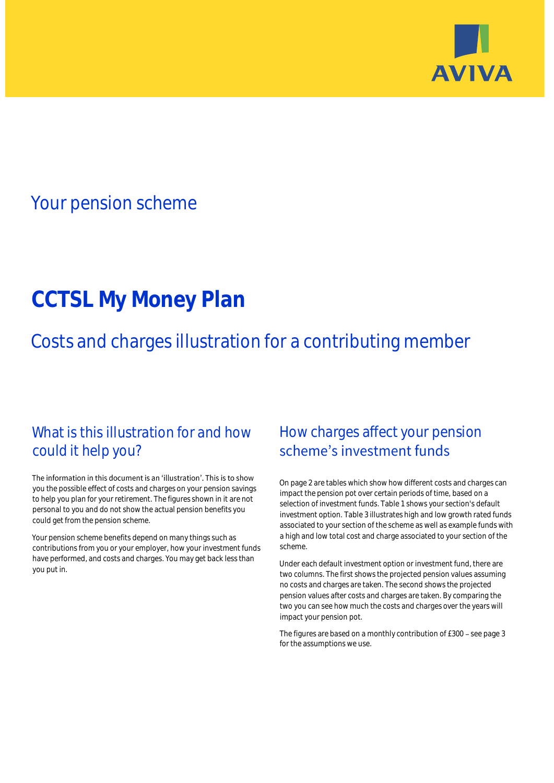

## Your pension scheme

# **CCTSL My Money Plan**

Costs and charges illustration for a contributing member

## What is this illustration for and how could it help you?

#### The information in this document is an 'illustration'. This is to show you the possible effect of costs and charges on your pension savings to help you plan for your retirement. The figures shown in it are not personal to you and do not show the actual pension benefits you could get from the pension scheme.

Your pension scheme benefits depend on many things such as contributions from you or your employer, how your investment funds have performed, and costs and charges. You may get back less than you put in.

## How charges affect your pension scheme's investment funds

On page 2 are tables which show how different costs and charges can impact the pension pot over certain periods of time, based on a selection of investment funds. Table 1 shows your section's default investment option. Table 3 illustrates high and low growth rated funds associated to your section of the scheme as well as example funds with a high and low total cost and charge associated to your section of the scheme.

Under each default investment option or investment fund, there are two columns. The first shows the projected pension values assuming no costs and charges are taken. The second shows the projected pension values after costs and charges are taken. By comparing the two you can see how much the costs and charges over the years will impact your pension pot.

The figures are based on a monthly contribution of £300 - see page 3 for the assumptions we use.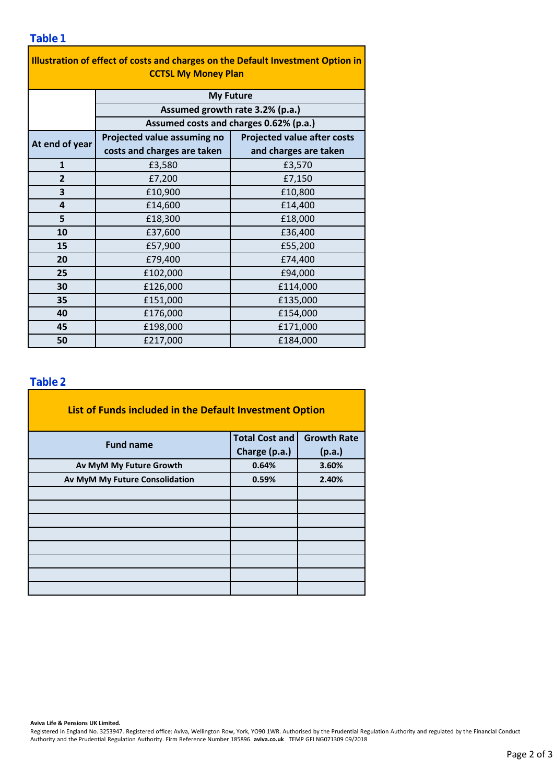| Illustration of effect of costs and charges on the Default Investment Option in<br><b>CCTSL My Money Plan</b> |                                        |                                    |  |  |  |  |  |
|---------------------------------------------------------------------------------------------------------------|----------------------------------------|------------------------------------|--|--|--|--|--|
|                                                                                                               | <b>My Future</b>                       |                                    |  |  |  |  |  |
|                                                                                                               | Assumed growth rate 3.2% (p.a.)        |                                    |  |  |  |  |  |
|                                                                                                               | Assumed costs and charges 0.62% (p.a.) |                                    |  |  |  |  |  |
| At end of year                                                                                                | Projected value assuming no            | <b>Projected value after costs</b> |  |  |  |  |  |
|                                                                                                               | costs and charges are taken            | and charges are taken              |  |  |  |  |  |
| $\mathbf{1}$                                                                                                  | £3,580                                 | £3,570                             |  |  |  |  |  |
| $\overline{2}$                                                                                                | £7,200                                 | £7,150                             |  |  |  |  |  |
| 3                                                                                                             | £10,900                                | £10,800                            |  |  |  |  |  |
| $\overline{\mathbf{a}}$                                                                                       | £14,600                                | £14,400                            |  |  |  |  |  |
| 5                                                                                                             | £18,300                                | £18,000                            |  |  |  |  |  |
| 10                                                                                                            | £37,600                                | £36,400                            |  |  |  |  |  |
| 15                                                                                                            | £57,900                                | £55,200                            |  |  |  |  |  |
| 20                                                                                                            | £79,400                                | £74,400                            |  |  |  |  |  |
| 25                                                                                                            | £102,000                               | £94,000                            |  |  |  |  |  |
| 30                                                                                                            | £126,000                               | £114,000                           |  |  |  |  |  |
| 35                                                                                                            | £151,000                               | £135,000                           |  |  |  |  |  |
| 40                                                                                                            | £176,000                               | £154,000                           |  |  |  |  |  |
| 45                                                                                                            | £198,000                               | £171,000                           |  |  |  |  |  |
| 50                                                                                                            | £217,000                               | £184,000                           |  |  |  |  |  |

#### **Table 2**

| List of Funds included in the Default Investment Option |                         |                    |
|---------------------------------------------------------|-------------------------|--------------------|
| <b>Fund name</b>                                        | <b>Total Cost and</b>   | <b>Growth Rate</b> |
|                                                         | Charge (p.a.)<br>(p.a.) |                    |
| Av MyM My Future Growth                                 | 0.64%                   | 3.60%              |
| Av MyM My Future Consolidation                          | 0.59%                   | 2.40%              |
|                                                         |                         |                    |
|                                                         |                         |                    |
|                                                         |                         |                    |
|                                                         |                         |                    |
|                                                         |                         |                    |
|                                                         |                         |                    |
|                                                         |                         |                    |
|                                                         |                         |                    |

**Aviva Life & Pensions UK Limited.**

Registered in England No. 3253947. Registered office: Aviva, Wellington Row, York, YO90 1WR. Authorised by the Prudential Regulation Authority and regulated by the Financial Conduct Authority and the Prudential Regulation Authority. Firm Reference Number 185896. **aviva.co.uk** TEMP GFI NG071309 09/2018